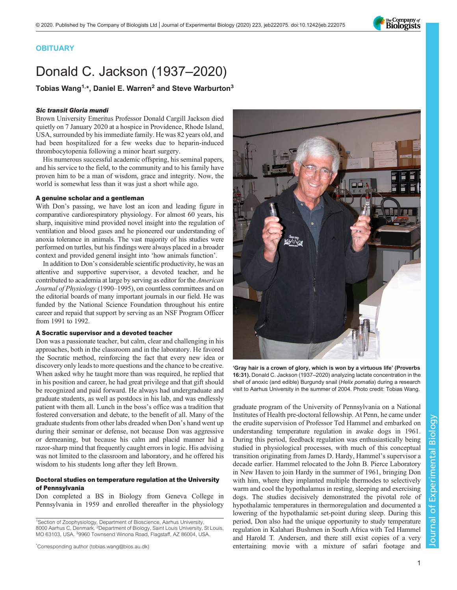# **OBITUARY**

# Donald C. Jackson (1937–2020)

Tobias Wang<sup>1,\*</sup>, Daniel E. Warren<sup>2</sup> and Steve Warburton<sup>3</sup>

#### Sic transit Gloria mundi

Brown University Emeritus Professor Donald Cargill Jackson died quietly on 7 January 2020 at a hospice in Providence, Rhode Island, USA, surrounded by his immediate family. He was 82 years old, and had been hospitalized for a few weeks due to heparin-induced thrombocytopenia following a minor heart surgery.

His numerous successful academic offspring, his seminal papers, and his service to the field, to the community and to his family have proven him to be a man of wisdom, grace and integrity. Now, the world is somewhat less than it was just a short while ago.

#### A genuine scholar and a gentleman

With Don's passing, we have lost an icon and leading figure in comparative cardiorespiratory physiology. For almost 60 years, his sharp, inquisitive mind provided novel insight into the regulation of ventilation and blood gases and he pioneered our understanding of anoxia tolerance in animals. The vast majority of his studies were performed on turtles, but his findings were always placed in a broader context and provided general insight into 'how animals function'.

In addition to Don's considerable scientific productivity, he was an attentive and supportive supervisor, a devoted teacher, and he contributed to academia at large by serving as editor for the American Journal of Physiology (1990–1995), on countless committees and on the editorial boards of many important journals in our field. He was funded by the National Science Foundation throughout his entire career and repaid that support by serving as an NSF Program Officer from 1991 to 1992.

## A Socratic supervisor and a devoted teacher

Don was a passionate teacher, but calm, clear and challenging in his approaches, both in the classroom and in the laboratory. He favored the Socratic method, reinforcing the fact that every new idea or discovery only leads to more questions and the chance to be creative. When asked why he taught more than was required, he replied that in his position and career, he had great privilege and that gift should be recognized and paid forward. He always had undergraduate and graduate students, as well as postdocs in his lab, and was endlessly patient with them all. Lunch in the boss's office was a tradition that fostered conversation and debate, to the benefit of all. Many of the graduate students from other labs dreaded when Don's hand went up during their seminar or defense, not because Don was aggressive or demeaning, but because his calm and placid manner hid a razor-sharp mind that frequently caught errors in logic. His advising was not limited to the classroom and laboratory, and he offered his wisdom to his students long after they left Brown.

## Doctoral studies on temperature regulation at the University of Pennsylvania

Don completed a BS in Biology from Geneva College in Pennsylvania in 1959 and enrolled thereafter in the physiology

<sup>1</sup>Section of Zoophysiology, Department of Bioscience, Aarhus University, 8000 Aarhus C, Denmark. <sup>2</sup>Department of Biology, Saint Louis University, St Louis, MO 63103, USA. 39960 Townsend Winona Road, Flagstaff, AZ 86004, USA.

\* Corresponding author [\(tobias.wang@bios.au.dk\)](mailto:tobias.wang@bios.au.dk)



'Gray hair is a crown of glory, which is won by a virtuous life' (Proverbs 16:31). Donald C. Jackson (1937–2020) analyzing lactate concentration in the shell of anoxic (and edible) Burgundy snail (Helix pomatia) during a research visit to Aarhus University in the summer of 2004. Photo credit: Tobias Wang.

graduate program of the University of Pennsylvania on a National Institutes of Health pre-doctoral fellowship. At Penn, he came under the erudite supervision of Professor Ted Hammel and embarked on understanding temperature regulation in awake dogs in 1961. During this period, feedback regulation was enthusiastically being studied in physiological processes, with much of this conceptual transition originating from James D. Hardy, Hammel's supervisor a decade earlier. Hammel relocated to the John B. Pierce Laboratory in New Haven to join Hardy in the summer of 1961, bringing Don with him, where they implanted multiple thermodes to selectively warm and cool the hypothalamus in resting, sleeping and exercising dogs. The studies decisively demonstrated the pivotal role of hypothalamic temperatures in thermoregulation and documented a lowering of the hypothalamic set-point during sleep. During this period, Don also had the unique opportunity to study temperature regulation in Kalahari Bushmen in South Africa with Ted Hammel and Harold T. Andersen, and there still exist copies of a very entertaining movie with a mixture of safari footage and